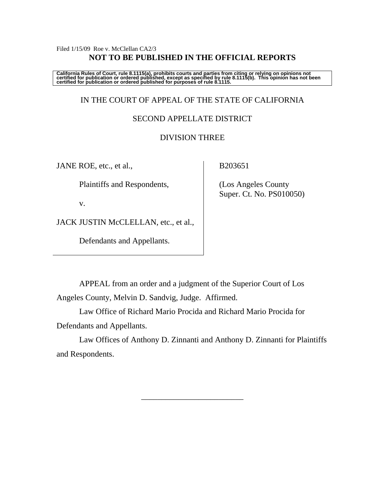### Filed  $1/15/09$  Roe v. McClellan CA2/3 **NOT TO BE PUBLISHED IN THE OFFICIAL REPORTS**

California Rules of Court, rule 8.1115(a), prohibits courts and parties from citing or relying on opinions not<br>certified for publication or ordered published, except as specified by rule 8.1115(b). This opinion has not be

### IN THE COURT OF APPEAL OF THE STATE OF CALIFORNIA

### SECOND APPELLATE DISTRICT

### DIVISION THREE

JANE ROE, etc., et al.,

Plaintiffs and Respondents,

v.

JACK JUSTIN McCLELLAN, etc., et al.,

Defendants and Appellants.

B203651

 (Los Angeles County Super. Ct. No. PS010050)

 APPEAL from an order and a judgment of the Superior Court of Los Angeles County, Melvin D. Sandvig, Judge. Affirmed.

 Law Office of Richard Mario Procida and Richard Mario Procida for Defendants and Appellants.

 Law Offices of Anthony D. Zinnanti and Anthony D. Zinnanti for Plaintiffs and Respondents.

\_\_\_\_\_\_\_\_\_\_\_\_\_\_\_\_\_\_\_\_\_\_\_\_\_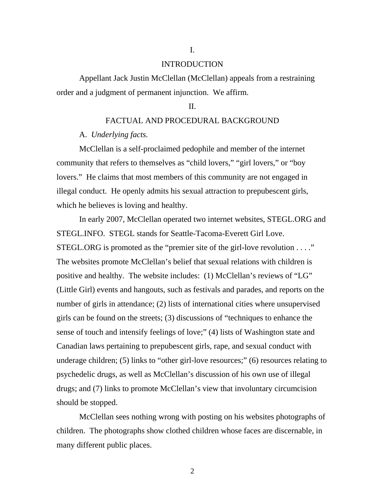#### INTRODUCTION

I.

 Appellant Jack Justin McClellan (McClellan) appeals from a restraining order and a judgment of permanent injunction. We affirm.

#### II.

### FACTUAL AND PROCEDURAL BACKGROUND

#### A. *Underlying facts.*

McClellan is a self-proclaimed pedophile and member of the internet community that refers to themselves as "child lovers," "girl lovers," or "boy lovers." He claims that most members of this community are not engaged in illegal conduct. He openly admits his sexual attraction to prepubescent girls, which he believes is loving and healthy.

 In early 2007, McClellan operated two internet websites, STEGL.ORG and STEGL.INFO. STEGL stands for Seattle-Tacoma-Everett Girl Love. STEGL.ORG is promoted as the "premier site of the girl-love revolution . . . ." The websites promote McClellan's belief that sexual relations with children is positive and healthy. The website includes: (1) McClellan's reviews of "LG" (Little Girl) events and hangouts, such as festivals and parades, and reports on the number of girls in attendance; (2) lists of international cities where unsupervised girls can be found on the streets; (3) discussions of "techniques to enhance the sense of touch and intensify feelings of love;" (4) lists of Washington state and Canadian laws pertaining to prepubescent girls, rape, and sexual conduct with underage children; (5) links to "other girl-love resources;" (6) resources relating to psychedelic drugs, as well as McClellan's discussion of his own use of illegal drugs; and (7) links to promote McClellan's view that involuntary circumcision should be stopped.

 McClellan sees nothing wrong with posting on his websites photographs of children. The photographs show clothed children whose faces are discernable, in many different public places.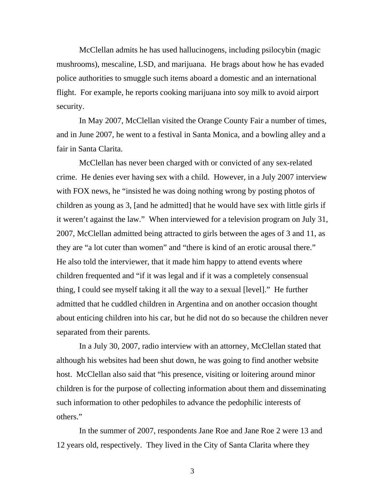McClellan admits he has used hallucinogens, including psilocybin (magic mushrooms), mescaline, LSD, and marijuana. He brags about how he has evaded police authorities to smuggle such items aboard a domestic and an international flight. For example, he reports cooking marijuana into soy milk to avoid airport security.

 In May 2007, McClellan visited the Orange County Fair a number of times, and in June 2007, he went to a festival in Santa Monica, and a bowling alley and a fair in Santa Clarita.

McClellan has never been charged with or convicted of any sex-related crime. He denies ever having sex with a child. However, in a July 2007 interview with FOX news, he "insisted he was doing nothing wrong by posting photos of children as young as 3, [and he admitted] that he would have sex with little girls if it weren't against the law." When interviewed for a television program on July 31, 2007, McClellan admitted being attracted to girls between the ages of 3 and 11, as they are "a lot cuter than women" and "there is kind of an erotic arousal there." He also told the interviewer, that it made him happy to attend events where children frequented and "if it was legal and if it was a completely consensual thing, I could see myself taking it all the way to a sexual [level]." He further admitted that he cuddled children in Argentina and on another occasion thought about enticing children into his car, but he did not do so because the children never separated from their parents.

 In a July 30, 2007, radio interview with an attorney, McClellan stated that although his websites had been shut down, he was going to find another website host. McClellan also said that "his presence, visiting or loitering around minor children is for the purpose of collecting information about them and disseminating such information to other pedophiles to advance the pedophilic interests of others."

In the summer of 2007, respondents Jane Roe and Jane Roe 2 were 13 and 12 years old, respectively. They lived in the City of Santa Clarita where they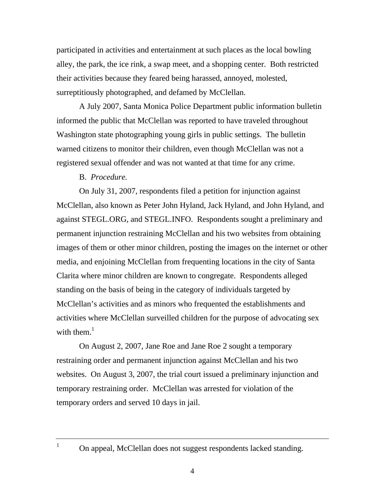participated in activities and entertainment at such places as the local bowling alley, the park, the ice rink, a swap meet, and a shopping center. Both restricted their activities because they feared being harassed, annoyed, molested, surreptitiously photographed, and defamed by McClellan.

 A July 2007, Santa Monica Police Department public information bulletin informed the public that McClellan was reported to have traveled throughout Washington state photographing young girls in public settings. The bulletin warned citizens to monitor their children, even though McClellan was not a registered sexual offender and was not wanted at that time for any crime.

### B. *Procedure.*

On July 31, 2007, respondents filed a petition for injunction against McClellan, also known as Peter John Hyland, Jack Hyland, and John Hyland, and against STEGL.ORG, and STEGL.INFO. Respondents sought a preliminary and permanent injunction restraining McClellan and his two websites from obtaining images of them or other minor children, posting the images on the internet or other media, and enjoining McClellan from frequenting locations in the city of Santa Clarita where minor children are known to congregate. Respondents alleged standing on the basis of being in the category of individuals targeted by McClellan's activities and as minors who frequented the establishments and activities where McClellan surveilled children for the purpose of advocating sex with them. $<sup>1</sup>$ </sup>

 On August 2, 2007, Jane Roe and Jane Roe 2 sought a temporary restraining order and permanent injunction against McClellan and his two websites. On August 3, 2007, the trial court issued a preliminary injunction and temporary restraining order. McClellan was arrested for violation of the temporary orders and served 10 days in jail.

1

On appeal, McClellan does not suggest respondents lacked standing.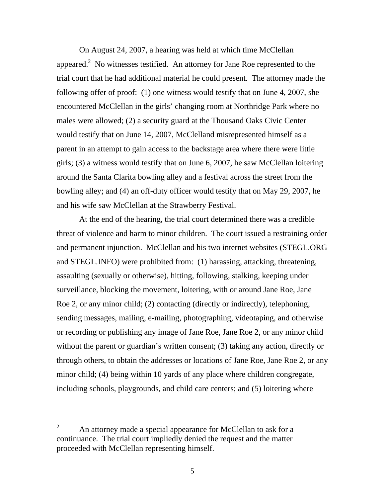On August 24, 2007, a hearing was held at which time McClellan appeared.<sup>2</sup> No witnesses testified. An attorney for Jane Roe represented to the trial court that he had additional material he could present. The attorney made the following offer of proof: (1) one witness would testify that on June 4, 2007, she encountered McClellan in the girls' changing room at Northridge Park where no males were allowed; (2) a security guard at the Thousand Oaks Civic Center would testify that on June 14, 2007, McClelland misrepresented himself as a parent in an attempt to gain access to the backstage area where there were little girls; (3) a witness would testify that on June 6, 2007, he saw McClellan loitering around the Santa Clarita bowling alley and a festival across the street from the bowling alley; and (4) an off-duty officer would testify that on May 29, 2007, he and his wife saw McClellan at the Strawberry Festival.

 At the end of the hearing, the trial court determined there was a credible threat of violence and harm to minor children. The court issued a restraining order and permanent injunction. McClellan and his two internet websites (STEGL.ORG and STEGL.INFO) were prohibited from: (1) harassing, attacking, threatening, assaulting (sexually or otherwise), hitting, following, stalking, keeping under surveillance, blocking the movement, loitering, with or around Jane Roe, Jane Roe 2, or any minor child; (2) contacting (directly or indirectly), telephoning, sending messages, mailing, e-mailing, photographing, videotaping, and otherwise or recording or publishing any image of Jane Roe, Jane Roe 2, or any minor child without the parent or guardian's written consent; (3) taking any action, directly or through others, to obtain the addresses or locations of Jane Roe, Jane Roe 2, or any minor child; (4) being within 10 yards of any place where children congregate, including schools, playgrounds, and child care centers; and (5) loitering where

<sup>2</sup> An attorney made a special appearance for McClellan to ask for a continuance. The trial court impliedly denied the request and the matter proceeded with McClellan representing himself.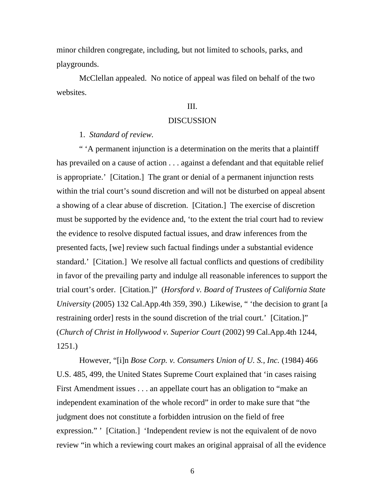minor children congregate, including, but not limited to schools, parks, and playgrounds.

 McClellan appealed. No notice of appeal was filed on behalf of the two websites.

#### III.

#### DISCUSSION

1. *Standard of review.* 

 " 'A permanent injunction is a determination on the merits that a plaintiff has prevailed on a cause of action . . . against a defendant and that equitable relief is appropriate.' [Citation.] The grant or denial of a permanent injunction rests within the trial court's sound discretion and will not be disturbed on appeal absent a showing of a clear abuse of discretion. [Citation.] The exercise of discretion must be supported by the evidence and, 'to the extent the trial court had to review the evidence to resolve disputed factual issues, and draw inferences from the presented facts, [we] review such factual findings under a substantial evidence standard.' [Citation.] We resolve all factual conflicts and questions of credibility in favor of the prevailing party and indulge all reasonable inferences to support the trial court's order. [Citation.]" (*Horsford v. Board of Trustees of California State University* (2005) 132 Cal.App.4th 359, 390.) Likewise, " 'the decision to grant [a restraining order] rests in the sound discretion of the trial court.' [Citation.]" (*Church of Christ in Hollywood v. Superior Court* (2002) 99 Cal.App.4th 1244, 1251.)

 However, "[i]n *Bose Corp. v. Consumers Union of U. S., Inc.* (1984) 466 U.S. 485, 499, the United States Supreme Court explained that 'in cases raising First Amendment issues . . . an appellate court has an obligation to "make an independent examination of the whole record" in order to make sure that "the judgment does not constitute a forbidden intrusion on the field of free expression." ' [Citation.] 'Independent review is not the equivalent of de novo review "in which a reviewing court makes an original appraisal of all the evidence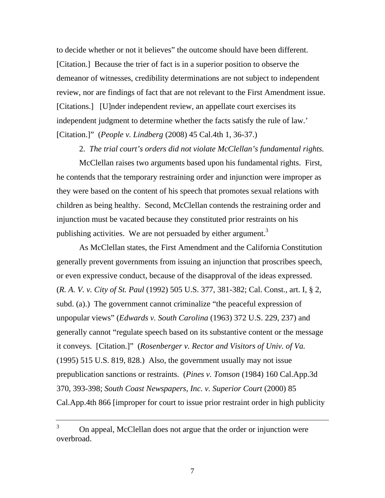to decide whether or not it believes" the outcome should have been different. [Citation.] Because the trier of fact is in a superior position to observe the demeanor of witnesses, credibility determinations are not subject to independent review, nor are findings of fact that are not relevant to the First Amendment issue. [Citations.] [U]nder independent review, an appellate court exercises its independent judgment to determine whether the facts satisfy the rule of law.' [Citation.]" (*People v. Lindberg* (2008) 45 Cal.4th 1, 36-37.)

2. *The trial court's orders did not violate McClellan's fundamental rights.* 

McClellan raises two arguments based upon his fundamental rights. First, he contends that the temporary restraining order and injunction were improper as they were based on the content of his speech that promotes sexual relations with children as being healthy. Second, McClellan contends the restraining order and injunction must be vacated because they constituted prior restraints on his publishing activities. We are not persuaded by either argument.<sup>3</sup>

 As McClellan states, the First Amendment and the California Constitution generally prevent governments from issuing an injunction that proscribes speech, or even expressive conduct, because of the disapproval of the ideas expressed. (*R. A. V. v. City of St. Paul* (1992) 505 U.S. 377, 381-382; Cal. Const., art. I, § 2, subd. (a).) The government cannot criminalize "the peaceful expression of unpopular views" (*Edwards v. South Carolina* (1963) 372 U.S. 229, 237) and generally cannot "regulate speech based on its substantive content or the message it conveys. [Citation.]" (*Rosenberger v. Rector and Visitors of Univ. of Va.*  (1995) 515 U.S. 819, 828.) Also, the government usually may not issue prepublication sanctions or restraints. (*Pines v. Tomson* (1984) 160 Cal.App.3d 370, 393-398; *South Coast Newspapers, Inc. v. Superior Court* (2000) 85 Cal.App.4th 866 [improper for court to issue prior restraint order in high publicity

<sup>&</sup>lt;sup>3</sup> On appeal, McClellan does not argue that the order or injunction were overbroad.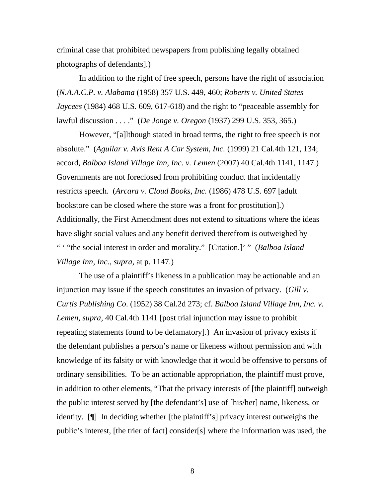criminal case that prohibited newspapers from publishing legally obtained photographs of defendants].)

 In addition to the right of free speech, persons have the right of association (*N.A.A.C.P. v. Alabama* (1958) 357 U.S. 449, 460; *Roberts v. United States Jaycees* (1984) 468 U.S. 609, 617-618) and the right to "peaceable assembly for lawful discussion . . . ." (*De Jonge v. Oregon* (1937) 299 U.S. 353, 365.)

 However, "[a]lthough stated in broad terms, the right to free speech is not absolute." (*Aguilar v. Avis Rent A Car System, Inc.* (1999) 21 Cal.4th 121, 134; accord, *Balboa Island Village Inn, Inc. v. Lemen* (2007) 40 Cal.4th 1141, 1147.) Governments are not foreclosed from prohibiting conduct that incidentally restricts speech. (*Arcara v. Cloud Books, Inc.* (1986) 478 U.S. 697 [adult bookstore can be closed where the store was a front for prostitution].) Additionally, the First Amendment does not extend to situations where the ideas have slight social values and any benefit derived therefrom is outweighed by " ' "the social interest in order and morality." [Citation.]' " (*Balboa Island Village Inn, Inc., supra,* at p. 1147.)

 The use of a plaintiff's likeness in a publication may be actionable and an injunction may issue if the speech constitutes an invasion of privacy. (*Gill v. Curtis Publishing Co*. (1952) 38 Cal.2d 273; cf. *Balboa Island Village Inn, Inc. v. Lemen, supra,* 40 Cal.4th 1141 [post trial injunction may issue to prohibit repeating statements found to be defamatory].) An invasion of privacy exists if the defendant publishes a person's name or likeness without permission and with knowledge of its falsity or with knowledge that it would be offensive to persons of ordinary sensibilities. To be an actionable appropriation, the plaintiff must prove, in addition to other elements, "That the privacy interests of [the plaintiff] outweigh the public interest served by [the defendant's] use of [his/her] name, likeness, or identity. [¶] In deciding whether [the plaintiff's] privacy interest outweighs the public's interest, [the trier of fact] consider[s] where the information was used, the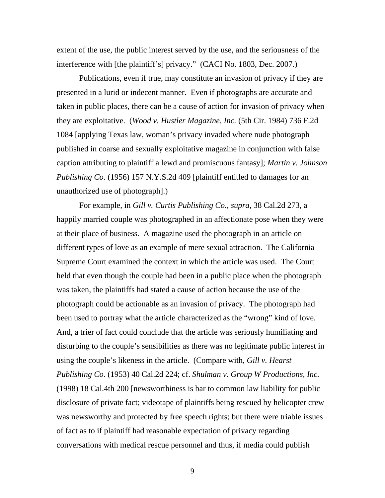extent of the use, the public interest served by the use, and the seriousness of the interference with [the plaintiff's] privacy." (CACI No. 1803, Dec. 2007.)

 Publications, even if true, may constitute an invasion of privacy if they are presented in a lurid or indecent manner. Even if photographs are accurate and taken in public places, there can be a cause of action for invasion of privacy when they are exploitative. (*Wood v. Hustler Magazine, Inc.* (5th Cir. 1984) 736 F.2d 1084 [applying Texas law, woman's privacy invaded where nude photograph published in coarse and sexually exploitative magazine in conjunction with false caption attributing to plaintiff a lewd and promiscuous fantasy]; *Martin v. Johnson Publishing Co.* (1956) 157 N.Y.S.2d 409 [plaintiff entitled to damages for an unauthorized use of photograph].)

 For example, in *Gill v. Curtis Publishing Co., supra,* 38 Cal.2d 273, a happily married couple was photographed in an affectionate pose when they were at their place of business. A magazine used the photograph in an article on different types of love as an example of mere sexual attraction. The California Supreme Court examined the context in which the article was used. The Court held that even though the couple had been in a public place when the photograph was taken, the plaintiffs had stated a cause of action because the use of the photograph could be actionable as an invasion of privacy. The photograph had been used to portray what the article characterized as the "wrong" kind of love. And, a trier of fact could conclude that the article was seriously humiliating and disturbing to the couple's sensibilities as there was no legitimate public interest in using the couple's likeness in the article. (Compare with, *Gill v. Hearst Publishing Co.* (1953) 40 Cal.2d 224; cf. *Shulman v. Group W Productions, Inc.*  (1998) 18 Cal.4th 200 [newsworthiness is bar to common law liability for public disclosure of private fact; videotape of plaintiffs being rescued by helicopter crew was newsworthy and protected by free speech rights; but there were triable issues of fact as to if plaintiff had reasonable expectation of privacy regarding conversations with medical rescue personnel and thus, if media could publish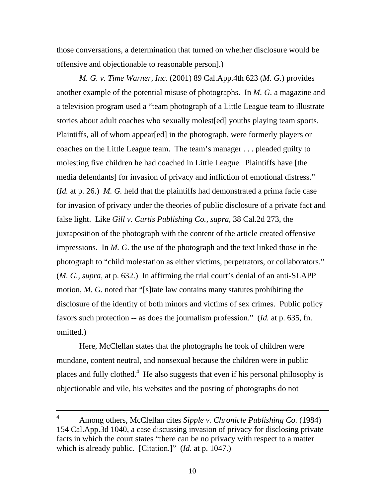those conversations, a determination that turned on whether disclosure would be offensive and objectionable to reasonable person].)

*M. G. v. Time Warner, Inc*. (2001) 89 Cal.App.4th 623 (*M. G.*) provides another example of the potential misuse of photographs. In *M. G.* a magazine and a television program used a "team photograph of a Little League team to illustrate stories about adult coaches who sexually molest[ed] youths playing team sports. Plaintiffs, all of whom appear[ed] in the photograph, were formerly players or coaches on the Little League team. The team's manager . . . pleaded guilty to molesting five children he had coached in Little League. Plaintiffs have [the media defendants] for invasion of privacy and infliction of emotional distress." (*Id.* at p. 26.)*M. G.* held that the plaintiffs had demonstrated a prima facie case for invasion of privacy under the theories of public disclosure of a private fact and false light. Like *Gill v. Curtis Publishing Co., supra,* 38 Cal.2d 273, the juxtaposition of the photograph with the content of the article created offensive impressions. In *M. G.* the use of the photograph and the text linked those in the photograph to "child molestation as either victims, perpetrators, or collaborators." (*M. G., supra,* at p. 632.) In affirming the trial court's denial of an anti-SLAPP motion, *M. G.* noted that "[s]tate law contains many statutes prohibiting the disclosure of the identity of both minors and victims of sex crimes. Public policy favors such protection -- as does the journalism profession." (*Id.* at p. 635, fn. omitted.)

 Here, McClellan states that the photographs he took of children were mundane, content neutral, and nonsexual because the children were in public places and fully clothed.<sup>4</sup> He also suggests that even if his personal philosophy is objectionable and vile, his websites and the posting of photographs do not

<sup>4</sup> Among others, McClellan cites *Sipple v. Chronicle Publishing Co.* (1984) 154 Cal.App.3d 1040, a case discussing invasion of privacy for disclosing private facts in which the court states "there can be no privacy with respect to a matter which is already public. [Citation.]" (*Id.* at p. 1047.)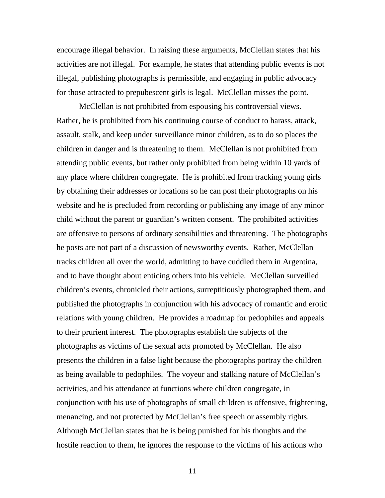encourage illegal behavior. In raising these arguments, McClellan states that his activities are not illegal. For example, he states that attending public events is not illegal, publishing photographs is permissible, and engaging in public advocacy for those attracted to prepubescent girls is legal. McClellan misses the point.

 McClellan is not prohibited from espousing his controversial views. Rather, he is prohibited from his continuing course of conduct to harass, attack, assault, stalk, and keep under surveillance minor children, as to do so places the children in danger and is threatening to them. McClellan is not prohibited from attending public events, but rather only prohibited from being within 10 yards of any place where children congregate. He is prohibited from tracking young girls by obtaining their addresses or locations so he can post their photographs on his website and he is precluded from recording or publishing any image of any minor child without the parent or guardian's written consent. The prohibited activities are offensive to persons of ordinary sensibilities and threatening. The photographs he posts are not part of a discussion of newsworthy events. Rather, McClellan tracks children all over the world, admitting to have cuddled them in Argentina, and to have thought about enticing others into his vehicle. McClellan surveilled children's events, chronicled their actions, surreptitiously photographed them, and published the photographs in conjunction with his advocacy of romantic and erotic relations with young children. He provides a roadmap for pedophiles and appeals to their prurient interest. The photographs establish the subjects of the photographs as victims of the sexual acts promoted by McClellan. He also presents the children in a false light because the photographs portray the children as being available to pedophiles. The voyeur and stalking nature of McClellan's activities, and his attendance at functions where children congregate, in conjunction with his use of photographs of small children is offensive, frightening, menancing, and not protected by McClellan's free speech or assembly rights. Although McClellan states that he is being punished for his thoughts and the hostile reaction to them, he ignores the response to the victims of his actions who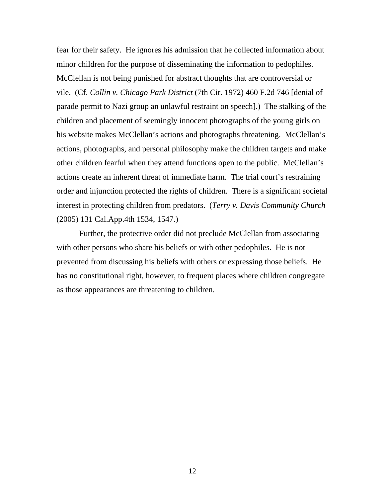fear for their safety. He ignores his admission that he collected information about minor children for the purpose of disseminating the information to pedophiles. McClellan is not being punished for abstract thoughts that are controversial or vile. (Cf. *Collin v. Chicago Park District* (7th Cir. 1972) 460 F.2d 746 [denial of parade permit to Nazi group an unlawful restraint on speech].) The stalking of the children and placement of seemingly innocent photographs of the young girls on his website makes McClellan's actions and photographs threatening. McClellan's actions, photographs, and personal philosophy make the children targets and make other children fearful when they attend functions open to the public. McClellan's actions create an inherent threat of immediate harm. The trial court's restraining order and injunction protected the rights of children. There is a significant societal interest in protecting children from predators. (*Terry v. Davis Community Church* (2005) 131 Cal.App.4th 1534, 1547.)

 Further, the protective order did not preclude McClellan from associating with other persons who share his beliefs or with other pedophiles. He is not prevented from discussing his beliefs with others or expressing those beliefs. He has no constitutional right, however, to frequent places where children congregate as those appearances are threatening to children.